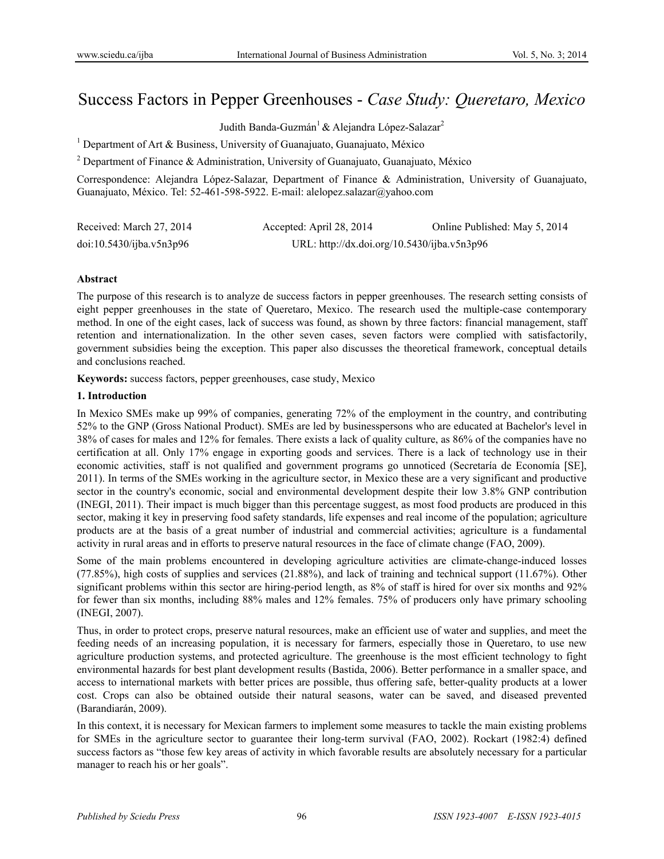# Success Factors in Pepper Greenhouses - *Case Study: Queretaro, Mexico*

Judith Banda-Guzmán<sup>1</sup> & Alejandra López-Salazar<sup>2</sup>

<sup>1</sup> Department of Art & Business, University of Guanajuato, Guanajuato, México

<sup>2</sup> Department of Finance & Administration, University of Guanajuato, Guanajuato, México

Correspondence: Alejandra López-Salazar, Department of Finance & Administration, University of Guanajuato, Guanajuato, México. Tel: 52-461-598-5922. E-mail: alelopez.salazar@yahoo.com

| Received: March 27, 2014 | Accepted: April 28, 2014                    | Online Published: May 5, 2014 |
|--------------------------|---------------------------------------------|-------------------------------|
| doi:10.5430/ijba.v5n3p96 | URL: http://dx.doi.org/10.5430/ijba.v5n3p96 |                               |

#### **Abstract**

The purpose of this research is to analyze de success factors in pepper greenhouses. The research setting consists of eight pepper greenhouses in the state of Queretaro, Mexico. The research used the multiple-case contemporary method. In one of the eight cases, lack of success was found, as shown by three factors: financial management, staff retention and internationalization. In the other seven cases, seven factors were complied with satisfactorily, government subsidies being the exception. This paper also discusses the theoretical framework, conceptual details and conclusions reached.

**Keywords:** success factors, pepper greenhouses, case study, Mexico

#### **1. Introduction**

In Mexico SMEs make up 99% of companies, generating 72% of the employment in the country, and contributing 52% to the GNP (Gross National Product). SMEs are led by businesspersons who are educated at Bachelor's level in 38% of cases for males and 12% for females. There exists a lack of quality culture, as 86% of the companies have no certification at all. Only 17% engage in exporting goods and services. There is a lack of technology use in their economic activities, staff is not qualified and government programs go unnoticed (Secretaría de Economía [SE], 2011). In terms of the SMEs working in the agriculture sector, in Mexico these are a very significant and productive sector in the country's economic, social and environmental development despite their low 3.8% GNP contribution (INEGI, 2011). Their impact is much bigger than this percentage suggest, as most food products are produced in this sector, making it key in preserving food safety standards, life expenses and real income of the population; agriculture products are at the basis of a great number of industrial and commercial activities; agriculture is a fundamental activity in rural areas and in efforts to preserve natural resources in the face of climate change (FAO, 2009).

Some of the main problems encountered in developing agriculture activities are climate-change-induced losses (77.85%), high costs of supplies and services (21.88%), and lack of training and technical support (11.67%). Other significant problems within this sector are hiring-period length, as 8% of staff is hired for over six months and 92% for fewer than six months, including 88% males and 12% females. 75% of producers only have primary schooling (INEGI, 2007).

Thus, in order to protect crops, preserve natural resources, make an efficient use of water and supplies, and meet the feeding needs of an increasing population, it is necessary for farmers, especially those in Queretaro, to use new agriculture production systems, and protected agriculture. The greenhouse is the most efficient technology to fight environmental hazards for best plant development results (Bastida, 2006). Better performance in a smaller space, and access to international markets with better prices are possible, thus offering safe, better-quality products at a lower cost. Crops can also be obtained outside their natural seasons, water can be saved, and diseased prevented (Barandiarán, 2009).

In this context, it is necessary for Mexican farmers to implement some measures to tackle the main existing problems for SMEs in the agriculture sector to guarantee their long-term survival (FAO, 2002). Rockart (1982:4) defined success factors as "those few key areas of activity in which favorable results are absolutely necessary for a particular manager to reach his or her goals".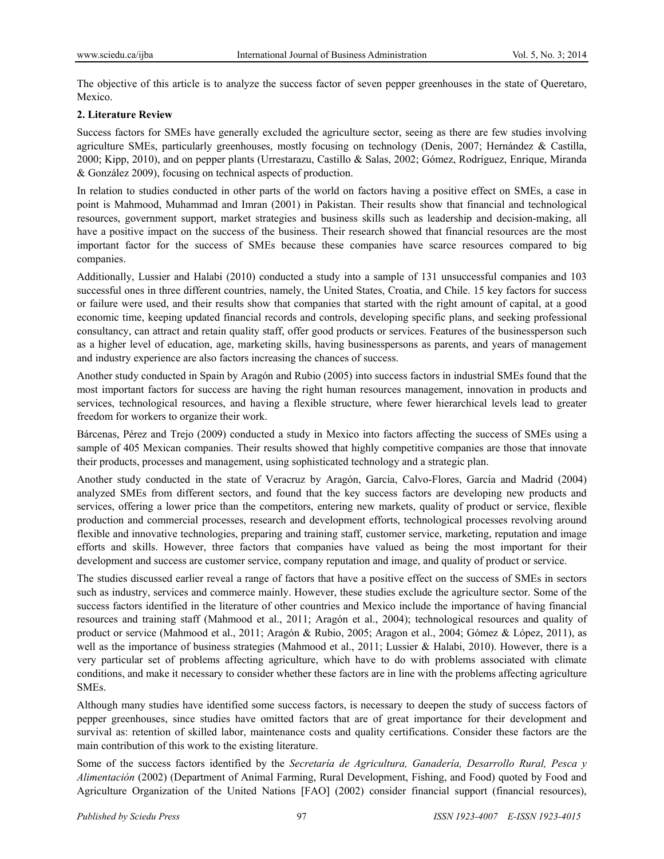The objective of this article is to analyze the success factor of seven pepper greenhouses in the state of Queretaro, Mexico.

# **2. Literature Review**

Success factors for SMEs have generally excluded the agriculture sector, seeing as there are few studies involving agriculture SMEs, particularly greenhouses, mostly focusing on technology (Denis, 2007; Hernández & Castilla, 2000; Kipp, 2010), and on pepper plants (Urrestarazu, Castillo & Salas, 2002; Gómez, Rodríguez, Enrique, Miranda & González 2009), focusing on technical aspects of production.

In relation to studies conducted in other parts of the world on factors having a positive effect on SMEs, a case in point is Mahmood, Muhammad and Imran (2001) in Pakistan. Their results show that financial and technological resources, government support, market strategies and business skills such as leadership and decision-making, all have a positive impact on the success of the business. Their research showed that financial resources are the most important factor for the success of SMEs because these companies have scarce resources compared to big companies.

Additionally, Lussier and Halabi (2010) conducted a study into a sample of 131 unsuccessful companies and 103 successful ones in three different countries, namely, the United States, Croatia, and Chile. 15 key factors for success or failure were used, and their results show that companies that started with the right amount of capital, at a good economic time, keeping updated financial records and controls, developing specific plans, and seeking professional consultancy, can attract and retain quality staff, offer good products or services. Features of the businessperson such as a higher level of education, age, marketing skills, having businesspersons as parents, and years of management and industry experience are also factors increasing the chances of success.

Another study conducted in Spain by Aragón and Rubio (2005) into success factors in industrial SMEs found that the most important factors for success are having the right human resources management, innovation in products and services, technological resources, and having a flexible structure, where fewer hierarchical levels lead to greater freedom for workers to organize their work.

Bárcenas, Pérez and Trejo (2009) conducted a study in Mexico into factors affecting the success of SMEs using a sample of 405 Mexican companies. Their results showed that highly competitive companies are those that innovate their products, processes and management, using sophisticated technology and a strategic plan.

Another study conducted in the state of Veracruz by Aragón, García, Calvo-Flores, García and Madrid (2004) analyzed SMEs from different sectors, and found that the key success factors are developing new products and services, offering a lower price than the competitors, entering new markets, quality of product or service, flexible production and commercial processes, research and development efforts, technological processes revolving around flexible and innovative technologies, preparing and training staff, customer service, marketing, reputation and image efforts and skills. However, three factors that companies have valued as being the most important for their development and success are customer service, company reputation and image, and quality of product or service.

The studies discussed earlier reveal a range of factors that have a positive effect on the success of SMEs in sectors such as industry, services and commerce mainly. However, these studies exclude the agriculture sector. Some of the success factors identified in the literature of other countries and Mexico include the importance of having financial resources and training staff (Mahmood et al., 2011; Aragón et al., 2004); technological resources and quality of product or service (Mahmood et al., 2011; Aragón & Rubio, 2005; Aragon et al., 2004; Gómez & López, 2011), as well as the importance of business strategies (Mahmood et al., 2011; Lussier & Halabi, 2010). However, there is a very particular set of problems affecting agriculture, which have to do with problems associated with climate conditions, and make it necessary to consider whether these factors are in line with the problems affecting agriculture SMEs.

Although many studies have identified some success factors, is necessary to deepen the study of success factors of pepper greenhouses, since studies have omitted factors that are of great importance for their development and survival as: retention of skilled labor, maintenance costs and quality certifications. Consider these factors are the main contribution of this work to the existing literature.

Some of the success factors identified by the *Secretaría de Agricultura, Ganadería, Desarrollo Rural, Pesca y Alimentación* (2002) (Department of Animal Farming, Rural Development, Fishing, and Food) quoted by Food and Agriculture Organization of the United Nations [FAO] (2002) consider financial support (financial resources),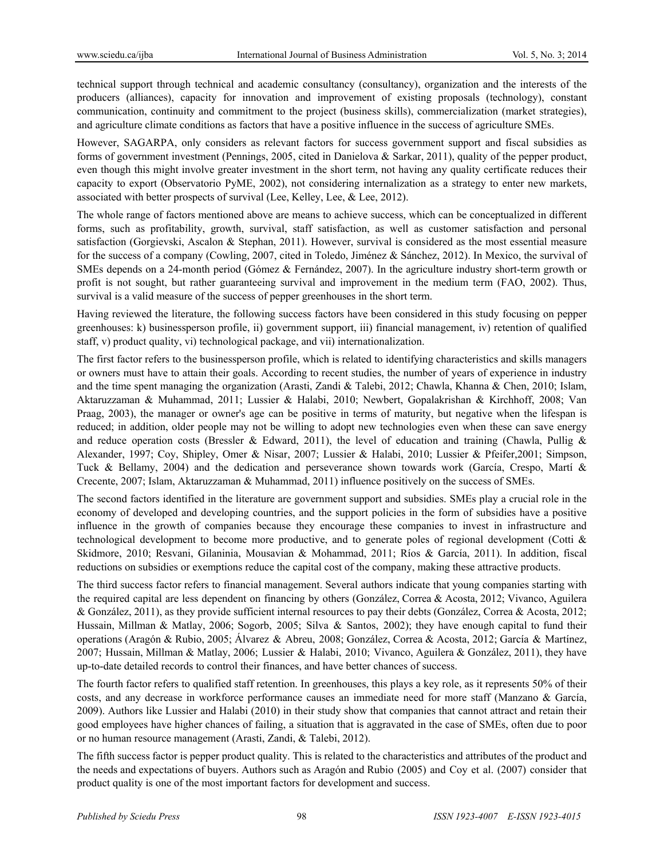technical support through technical and academic consultancy (consultancy), organization and the interests of the producers (alliances), capacity for innovation and improvement of existing proposals (technology), constant communication, continuity and commitment to the project (business skills), commercialization (market strategies), and agriculture climate conditions as factors that have a positive influence in the success of agriculture SMEs.

However, SAGARPA, only considers as relevant factors for success government support and fiscal subsidies as forms of government investment (Pennings, 2005, cited in Danielova & Sarkar, 2011), quality of the pepper product, even though this might involve greater investment in the short term, not having any quality certificate reduces their capacity to export (Observatorio PyME, 2002), not considering internalization as a strategy to enter new markets, associated with better prospects of survival (Lee, Kelley, Lee, & Lee, 2012).

The whole range of factors mentioned above are means to achieve success, which can be conceptualized in different forms, such as profitability, growth, survival, staff satisfaction, as well as customer satisfaction and personal satisfaction (Gorgievski, Ascalon & Stephan, 2011). However, survival is considered as the most essential measure for the success of a company (Cowling, 2007, cited in Toledo, Jiménez & Sánchez, 2012). In Mexico, the survival of SMEs depends on a 24-month period (Gómez & Fernández, 2007). In the agriculture industry short-term growth or profit is not sought, but rather guaranteeing survival and improvement in the medium term (FAO, 2002). Thus, survival is a valid measure of the success of pepper greenhouses in the short term.

Having reviewed the literature, the following success factors have been considered in this study focusing on pepper greenhouses: k) businessperson profile, ii) government support, iii) financial management, iv) retention of qualified staff, v) product quality, vi) technological package, and vii) internationalization.

The first factor refers to the businessperson profile, which is related to identifying characteristics and skills managers or owners must have to attain their goals. According to recent studies, the number of years of experience in industry and the time spent managing the organization (Arasti, Zandi & Talebi, 2012; Chawla, Khanna & Chen, 2010; Islam, Aktaruzzaman & Muhammad, 2011; Lussier & Halabi, 2010; Newbert, Gopalakrishan & Kirchhoff, 2008; Van Praag, 2003), the manager or owner's age can be positive in terms of maturity, but negative when the lifespan is reduced; in addition, older people may not be willing to adopt new technologies even when these can save energy and reduce operation costs (Bressler & Edward, 2011), the level of education and training (Chawla, Pullig & Alexander, 1997; Coy, Shipley, Omer & Nisar, 2007; Lussier & Halabi, 2010; Lussier & Pfeifer,2001; Simpson, Tuck & Bellamy, 2004) and the dedication and perseverance shown towards work (García, Crespo, Martí & Crecente, 2007; Islam, Aktaruzzaman & Muhammad, 2011) influence positively on the success of SMEs.

The second factors identified in the literature are government support and subsidies. SMEs play a crucial role in the economy of developed and developing countries, and the support policies in the form of subsidies have a positive influence in the growth of companies because they encourage these companies to invest in infrastructure and technological development to become more productive, and to generate poles of regional development (Cotti & Skidmore, 2010; Resvani, Gilaninia, Mousavian & Mohammad, 2011; Ríos & García, 2011). In addition, fiscal reductions on subsidies or exemptions reduce the capital cost of the company, making these attractive products.

The third success factor refers to financial management. Several authors indicate that young companies starting with the required capital are less dependent on financing by others (González, Correa & Acosta, 2012; Vivanco, Aguilera & González, 2011), as they provide sufficient internal resources to pay their debts (González, Correa & Acosta, 2012; Hussain, Millman & Matlay, 2006; Sogorb, 2005; Silva & Santos, 2002); they have enough capital to fund their operations (Aragón & Rubio, 2005; Álvarez & Abreu, 2008; González, Correa & Acosta, 2012; García & Martínez, 2007; Hussain, Millman & Matlay, 2006; Lussier & Halabi, 2010; Vivanco, Aguilera & González, 2011), they have up-to-date detailed records to control their finances, and have better chances of success.

The fourth factor refers to qualified staff retention. In greenhouses, this plays a key role, as it represents 50% of their costs, and any decrease in workforce performance causes an immediate need for more staff (Manzano & García, 2009). Authors like Lussier and Halabi (2010) in their study show that companies that cannot attract and retain their good employees have higher chances of failing, a situation that is aggravated in the case of SMEs, often due to poor or no human resource management (Arasti, Zandi, & Talebi, 2012).

The fifth success factor is pepper product quality. This is related to the characteristics and attributes of the product and the needs and expectations of buyers. Authors such as Aragón and Rubio (2005) and Coy et al. (2007) consider that product quality is one of the most important factors for development and success.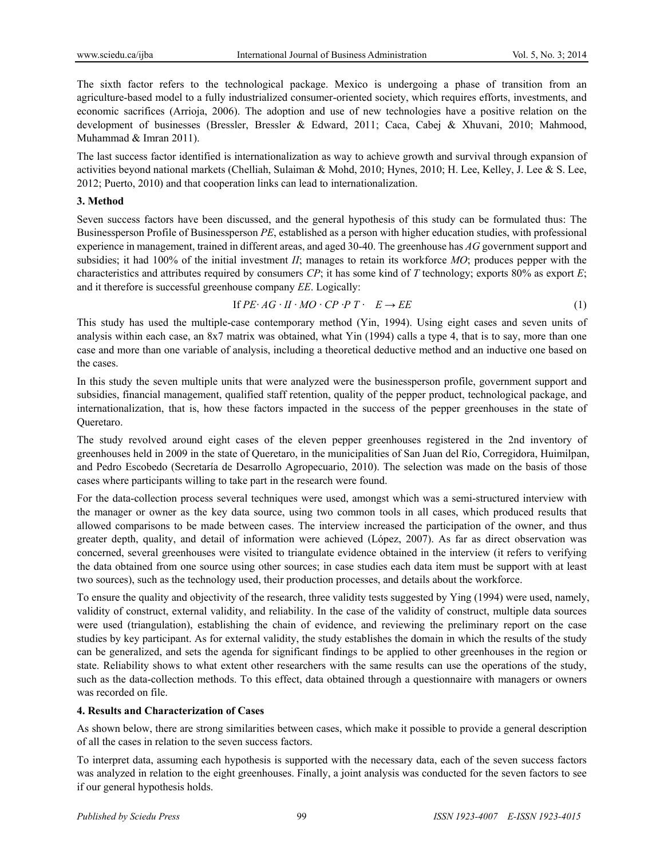The sixth factor refers to the technological package. Mexico is undergoing a phase of transition from an agriculture-based model to a fully industrialized consumer-oriented society, which requires efforts, investments, and economic sacrifices (Arrioja, 2006). The adoption and use of new technologies have a positive relation on the development of businesses (Bressler, Bressler & Edward, 2011; Caca, Cabej & Xhuvani, 2010; Mahmood, Muhammad & Imran 2011).

The last success factor identified is internationalization as way to achieve growth and survival through expansion of activities beyond national markets (Chelliah, Sulaiman & Mohd, 2010; Hynes, 2010; H. Lee, Kelley, J. Lee & S. Lee, 2012; Puerto, 2010) and that cooperation links can lead to internationalization.

### **3. Method**

Seven success factors have been discussed, and the general hypothesis of this study can be formulated thus: The Businessperson Profile of Businessperson *PE*, established as a person with higher education studies, with professional experience in management, trained in different areas, and aged 30-40. The greenhouse has *AG* government support and subsidies; it had 100% of the initial investment *II*; manages to retain its workforce *MO*; produces pepper with the characteristics and attributes required by consumers *CP*; it has some kind of *T* technology; exports 80% as export *E*; and it therefore is successful greenhouse company *EE*. Logically:

If 
$$
PE \cdot AG \cdot II \cdot MO \cdot CP \cdot P \cdot T \cdot E \rightarrow EE
$$
 (1)

This study has used the multiple-case contemporary method (Yin, 1994). Using eight cases and seven units of analysis within each case, an 8x7 matrix was obtained, what Yin (1994) calls a type 4, that is to say, more than one case and more than one variable of analysis, including a theoretical deductive method and an inductive one based on the cases.

In this study the seven multiple units that were analyzed were the businessperson profile, government support and subsidies, financial management, qualified staff retention, quality of the pepper product, technological package, and internationalization, that is, how these factors impacted in the success of the pepper greenhouses in the state of Queretaro.

The study revolved around eight cases of the eleven pepper greenhouses registered in the 2nd inventory of greenhouses held in 2009 in the state of Queretaro, in the municipalities of San Juan del Río, Corregidora, Huimilpan, and Pedro Escobedo (Secretaría de Desarrollo Agropecuario, 2010). The selection was made on the basis of those cases where participants willing to take part in the research were found.

For the data-collection process several techniques were used, amongst which was a semi-structured interview with the manager or owner as the key data source, using two common tools in all cases, which produced results that allowed comparisons to be made between cases. The interview increased the participation of the owner, and thus greater depth, quality, and detail of information were achieved (López, 2007). As far as direct observation was concerned, several greenhouses were visited to triangulate evidence obtained in the interview (it refers to verifying the data obtained from one source using other sources; in case studies each data item must be support with at least two sources), such as the technology used, their production processes, and details about the workforce.

To ensure the quality and objectivity of the research, three validity tests suggested by Ying (1994) were used, namely, validity of construct, external validity, and reliability. In the case of the validity of construct, multiple data sources were used (triangulation), establishing the chain of evidence, and reviewing the preliminary report on the case studies by key participant. As for external validity, the study establishes the domain in which the results of the study can be generalized, and sets the agenda for significant findings to be applied to other greenhouses in the region or state. Reliability shows to what extent other researchers with the same results can use the operations of the study, such as the data-collection methods. To this effect, data obtained through a questionnaire with managers or owners was recorded on file.

# **4. Results and Characterization of Cases**

As shown below, there are strong similarities between cases, which make it possible to provide a general description of all the cases in relation to the seven success factors.

To interpret data, assuming each hypothesis is supported with the necessary data, each of the seven success factors was analyzed in relation to the eight greenhouses. Finally, a joint analysis was conducted for the seven factors to see if our general hypothesis holds.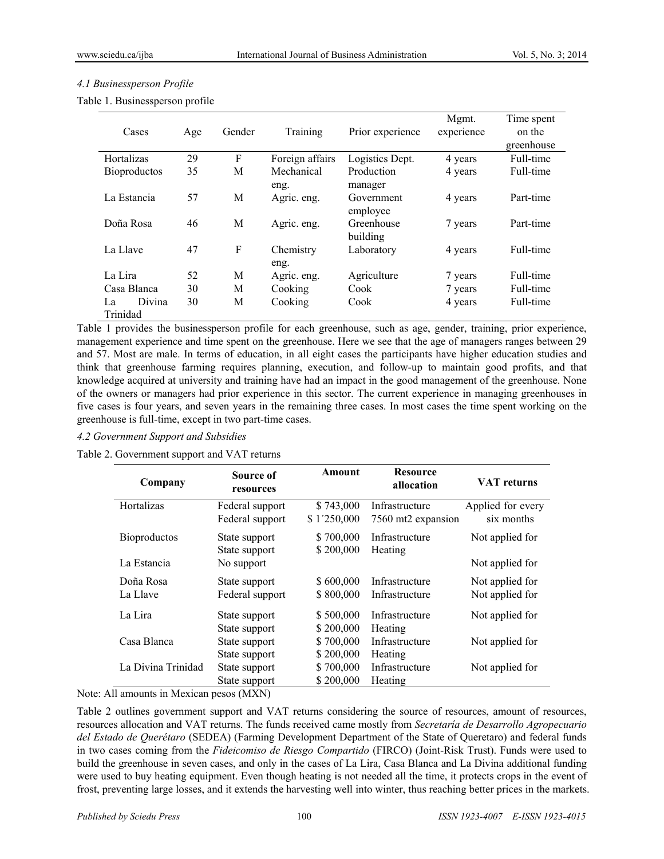# *4.1 Businessperson Profile*

|  | Table 1. Businessperson profile |  |
|--|---------------------------------|--|
|--|---------------------------------|--|

| Cases                    | Age | Gender | Training<br>Prior experience |                                   | Mgmt.<br>experience | Time spent<br>on the<br>greenhouse |
|--------------------------|-----|--------|------------------------------|-----------------------------------|---------------------|------------------------------------|
| <b>Hortalizas</b>        | 29  | F      | Foreign affairs              | Logistics Dept.                   | 4 years             | Full-time                          |
| <b>Bioproductos</b>      | 35  | М      | Mechanical                   | Production                        | 4 years             | Full-time                          |
| La Estancia              | 57  | M      | eng.<br>Agric. eng.          | manager<br>Government<br>employee | 4 years             | Part-time                          |
| Doña Rosa                | 46  | M      | Agric. eng.                  | Greenhouse<br>building            | 7 years             | Part-time                          |
| La Llave                 | 47  | F      | Chemistry<br>eng.            | Laboratory                        | 4 years             | Full-time                          |
| La Lira                  | 52  | M      | Agric. eng.                  | Agriculture                       | 7 years             | Full-time                          |
| Casa Blanca              | 30  | M      | Cooking                      | Cook                              | 7 years             | Full-time                          |
| Divina<br>La<br>Trinidad | 30  | M      | Cooking                      | Cook                              | 4 years             | Full-time                          |

Table 1 provides the businessperson profile for each greenhouse, such as age, gender, training, prior experience, management experience and time spent on the greenhouse. Here we see that the age of managers ranges between 29 and 57. Most are male. In terms of education, in all eight cases the participants have higher education studies and think that greenhouse farming requires planning, execution, and follow-up to maintain good profits, and that knowledge acquired at university and training have had an impact in the good management of the greenhouse. None of the owners or managers had prior experience in this sector. The current experience in managing greenhouses in five cases is four years, and seven years in the remaining three cases. In most cases the time spent working on the greenhouse is full-time, except in two part-time cases.

### *4.2 Government Support and Subsidies*

Table 2. Government support and VAT returns

| Company             | Source of<br>resources | Amount      | <b>Resource</b><br>allocation | <b>VAT</b> returns |
|---------------------|------------------------|-------------|-------------------------------|--------------------|
| Hortalizas          | Federal support        | \$743,000   | Infrastructure                | Applied for every  |
|                     | Federal support        | \$1'250,000 | 7560 mt2 expansion            | six months         |
| <b>Bioproductos</b> | State support          | \$700,000   | Infrastructure                | Not applied for    |
|                     | State support          | \$200,000   | Heating                       |                    |
| La Estancia         | No support             |             |                               | Not applied for    |
| Doña Rosa           | State support          | \$600,000   | Infrastructure                | Not applied for    |
| La Llave            | Federal support        | \$800,000   | Infrastructure                | Not applied for    |
| La Lira             | State support          | \$500,000   | Infrastructure                | Not applied for    |
|                     | State support          | \$200,000   | Heating                       |                    |
| Casa Blanca         | State support          | \$700,000   | Infrastructure                | Not applied for    |
|                     | State support          | \$200,000   | Heating                       |                    |
| La Divina Trinidad  | State support          | \$700,000   | Infrastructure                | Not applied for    |
|                     | State support          | \$200,000   | Heating                       |                    |

Note: All amounts in Mexican pesos (MXN)

Table 2 outlines government support and VAT returns considering the source of resources, amount of resources, resources allocation and VAT returns. The funds received came mostly from *Secretaría de Desarrollo Agropecuario del Estado de Querétaro* (SEDEA) (Farming Development Department of the State of Queretaro) and federal funds in two cases coming from the *Fideicomiso de Riesgo Compartido* (FIRCO) (Joint-Risk Trust). Funds were used to build the greenhouse in seven cases, and only in the cases of La Lira, Casa Blanca and La Divina additional funding were used to buy heating equipment. Even though heating is not needed all the time, it protects crops in the event of frost, preventing large losses, and it extends the harvesting well into winter, thus reaching better prices in the markets.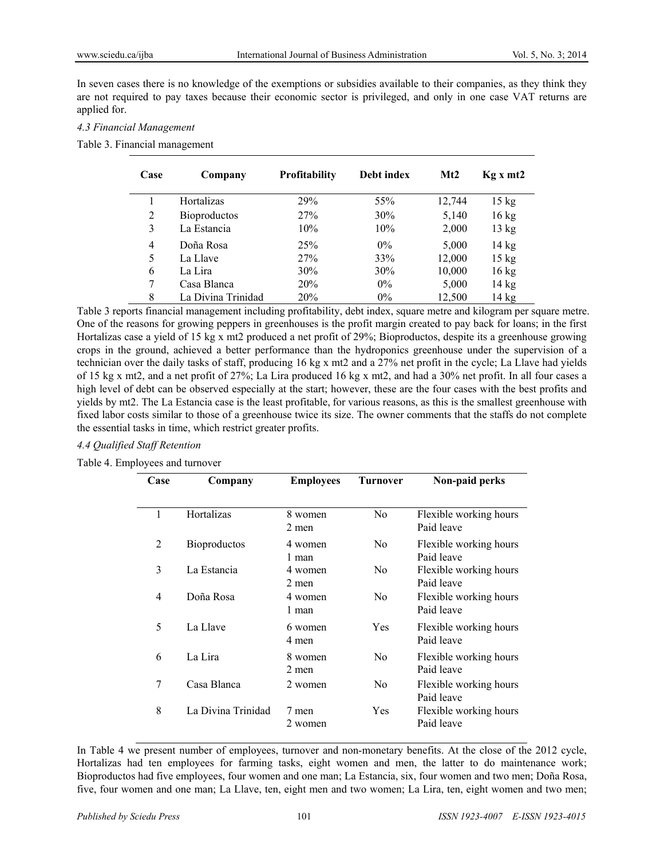In seven cases there is no knowledge of the exemptions or subsidies available to their companies, as they think they are not required to pay taxes because their economic sector is privileged, and only in one case VAT returns are applied for.

### *4.3 Financial Management*

#### Table 3. Financial management

| Case           | Company             | <b>Profitability</b> | Debt index | Mt2    | Kg x m t2       |
|----------------|---------------------|----------------------|------------|--------|-----------------|
|                | Hortalizas          | 29%                  | 55%        | 12,744 | $15 \text{ kg}$ |
| $\overline{2}$ | <b>Bioproductos</b> | 27%                  | 30%        | 5,140  | $16 \text{ kg}$ |
| 3              | La Estancia         | 10%                  | 10%        | 2,000  | 13 kg           |
| $\overline{4}$ | Doña Rosa           | 25%                  | $0\%$      | 5,000  | $14 \text{ kg}$ |
| 5              | La Llave            | 27%                  | 33%        | 12,000 | $15 \text{ kg}$ |
| 6              | La Lira             | 30%                  | 30%        | 10,000 | $16 \text{ kg}$ |
| 7              | Casa Blanca         | 20%                  | $0\%$      | 5,000  | 14 kg           |
| 8              | La Divina Trinidad  | 20%                  | $0\%$      | 12,500 | 14 kg           |

Table 3 reports financial management including profitability, debt index, square metre and kilogram per square metre. One of the reasons for growing peppers in greenhouses is the profit margin created to pay back for loans; in the first Hortalizas case a yield of 15 kg x mt2 produced a net profit of 29%; Bioproductos, despite its a greenhouse growing crops in the ground, achieved a better performance than the hydroponics greenhouse under the supervision of a technician over the daily tasks of staff, producing 16 kg x mt2 and a 27% net profit in the cycle; La Llave had yields of 15 kg x mt2, and a net profit of 27%; La Lira produced 16 kg x mt2, and had a 30% net profit. In all four cases a high level of debt can be observed especially at the start; however, these are the four cases with the best profits and yields by mt2. The La Estancia case is the least profitable, for various reasons, as this is the smallest greenhouse with fixed labor costs similar to those of a greenhouse twice its size. The owner comments that the staffs do not complete the essential tasks in time, which restrict greater profits.

# *4.4 Qualified Staff Retention*

Table 4. Employees and turnover

| Case | Company             | <b>Employees</b> | <b>Turnover</b> | Non-paid perks                       |
|------|---------------------|------------------|-----------------|--------------------------------------|
|      |                     |                  |                 |                                      |
| 1    | Hortalizas          | 8 women<br>2 men | N <sub>0</sub>  | Flexible working hours<br>Paid leave |
| 2    | <b>Bioproductos</b> | 4 women<br>1 man | N <sub>0</sub>  | Flexible working hours<br>Paid leave |
| 3    | La Estancia         | 4 women<br>2 men | N <sub>0</sub>  | Flexible working hours<br>Paid leave |
| 4    | Doña Rosa           | 4 women<br>1 man | N <sub>0</sub>  | Flexible working hours<br>Paid leave |
| 5    | La Llave            | 6 women<br>4 men | Yes             | Flexible working hours<br>Paid leave |
| 6    | La Lira             | 8 women<br>2 men | N <sub>0</sub>  | Flexible working hours<br>Paid leave |
| 7    | Casa Blanca         | 2 women          | N <sub>0</sub>  | Flexible working hours<br>Paid leave |
| 8    | La Divina Trinidad  | 7 men<br>2 women | Yes             | Flexible working hours<br>Paid leave |

In Table 4 we present number of employees, turnover and non-monetary benefits. At the close of the 2012 cycle, Hortalizas had ten employees for farming tasks, eight women and men, the latter to do maintenance work; Bioproductos had five employees, four women and one man; La Estancia, six, four women and two men; Doña Rosa, five, four women and one man; La Llave, ten, eight men and two women; La Lira, ten, eight women and two men;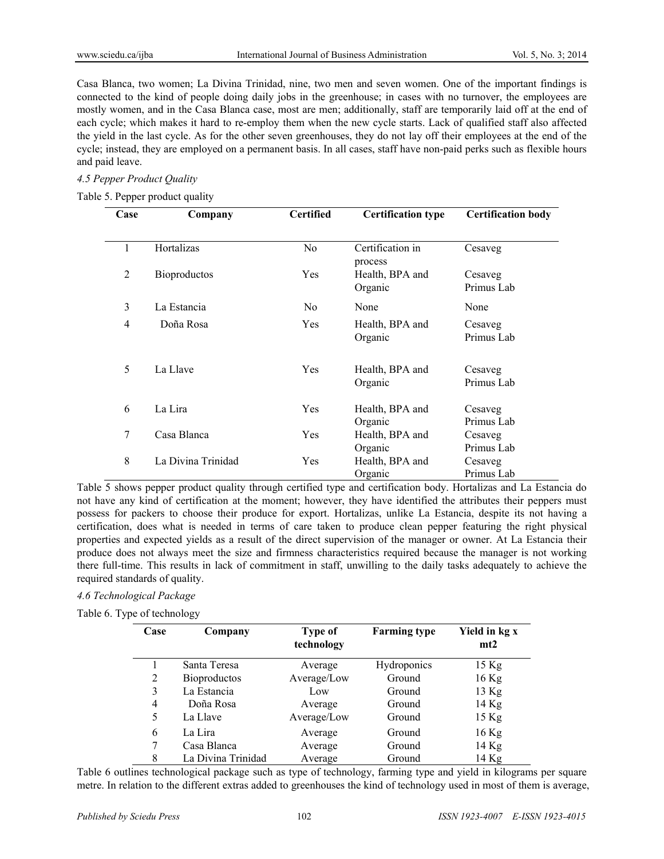Casa Blanca, two women; La Divina Trinidad, nine, two men and seven women. One of the important findings is connected to the kind of people doing daily jobs in the greenhouse; in cases with no turnover, the employees are mostly women, and in the Casa Blanca case, most are men; additionally, staff are temporarily laid off at the end of each cycle; which makes it hard to re-employ them when the new cycle starts. Lack of qualified staff also affected the yield in the last cycle. As for the other seven greenhouses, they do not lay off their employees at the end of the cycle; instead, they are employed on a permanent basis. In all cases, staff have non-paid perks such as flexible hours and paid leave.

# *4.5 Pepper Product Quality*

# Table 5. Pepper product quality

| Case   | Company             | <b>Certified</b> | <b>Certification type</b>   | <b>Certification body</b> |
|--------|---------------------|------------------|-----------------------------|---------------------------|
|        |                     |                  |                             |                           |
| 1      | Hortalizas          | No               | Certification in<br>process | Cesaveg                   |
| 2      | <b>Bioproductos</b> | Yes              | Health, BPA and             | Cesaveg                   |
|        |                     |                  | Organic                     | Primus Lab                |
| 3      | La Estancia         | N <sub>0</sub>   | None                        | None                      |
| 4      | Doña Rosa           | Yes              | Health, BPA and             | Cesaveg                   |
|        |                     |                  | Organic                     | Primus Lab                |
| 5      | La Llave            | Yes              | Health, BPA and             | Cesaveg                   |
|        |                     |                  | Organic                     | Primus Lab                |
| 6      | La Lira             | Yes              | Health, BPA and             | Cesaveg                   |
|        |                     |                  | Organic                     | Primus Lab                |
| $\tau$ | Casa Blanca         | Yes              | Health, BPA and             | Cesaveg                   |
|        |                     |                  | Organic                     | Primus Lab                |
| 8      | La Divina Trinidad  | Yes              | Health, BPA and             | Cesaveg                   |
|        |                     |                  | Organic                     | Primus Lab                |

Table 5 shows pepper product quality through certified type and certification body. Hortalizas and La Estancia do not have any kind of certification at the moment; however, they have identified the attributes their peppers must possess for packers to choose their produce for export. Hortalizas, unlike La Estancia, despite its not having a certification, does what is needed in terms of care taken to produce clean pepper featuring the right physical properties and expected yields as a result of the direct supervision of the manager or owner. At La Estancia their produce does not always meet the size and firmness characteristics required because the manager is not working there full-time. This results in lack of commitment in staff, unwilling to the daily tasks adequately to achieve the required standards of quality.

# *4.6 Technological Package*

Table 6. Type of technology

| Case | Company             | Type of<br>technology | <b>Farming type</b> | Yield in kg x<br>mt2 |
|------|---------------------|-----------------------|---------------------|----------------------|
|      | Santa Teresa        | Average               | <b>Hydroponics</b>  | 15 Kg                |
| 2    | <b>Bioproductos</b> | Average/Low           | Ground              | $16$ Kg              |
| 3    | La Estancia         | Low                   | Ground              | $13$ Kg              |
| 4    | Doña Rosa           | Average               | Ground              | $14$ Kg              |
| 5    | La Llave            | Average/Low           | Ground              | 15 Kg                |
| 6    | La Lira             | Average               | Ground              | 16 Kg                |
| 7    | Casa Blanca         | Average               | Ground              | $14$ Kg              |
| 8    | La Divina Trinidad  | Average               | Ground              | 14 Kg                |

Table 6 outlines technological package such as type of technology, farming type and yield in kilograms per square metre. In relation to the different extras added to greenhouses the kind of technology used in most of them is average,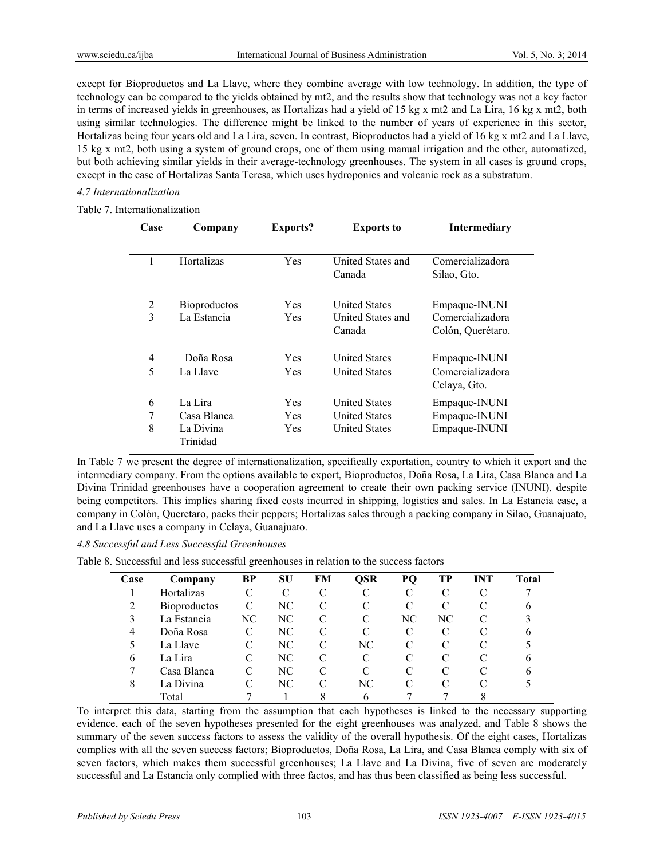except for Bioproductos and La Llave, where they combine average with low technology. In addition, the type of technology can be compared to the yields obtained by mt2, and the results show that technology was not a key factor in terms of increased yields in greenhouses, as Hortalizas had a yield of 15 kg x mt2 and La Lira, 16 kg x mt2, both using similar technologies. The difference might be linked to the number of years of experience in this sector, Hortalizas being four years old and La Lira, seven. In contrast, Bioproductos had a yield of 16 kg x mt2 and La Llave, 15 kg x mt2, both using a system of ground crops, one of them using manual irrigation and the other, automatized, but both achieving similar yields in their average-technology greenhouses. The system in all cases is ground crops, except in the case of Hortalizas Santa Teresa, which uses hydroponics and volcanic rock as a substratum.

# *4.7 Internationalization*

## Table 7. Internationalization

| Case           | Company             | <b>Exports?</b> | <b>Exports to</b>    | <b>Intermediary</b> |
|----------------|---------------------|-----------------|----------------------|---------------------|
|                |                     |                 |                      |                     |
| 1              | <b>Hortalizas</b>   | Yes             | United States and    | Comercializadora    |
|                |                     |                 | Canada               | Silao, Gto.         |
| 2              | <b>Bioproductos</b> | Yes             | <b>United States</b> | Empaque-INUNI       |
| 3              | La Estancia         | Yes             | United States and    | Comercializadora    |
|                |                     |                 | Canada               | Colón, Querétaro.   |
| $\overline{4}$ | Doña Rosa           | Yes             | <b>United States</b> | Empaque-INUNI       |
| 5              | La Llave            | Yes             | <b>United States</b> | Comercializadora    |
|                |                     |                 |                      | Celaya, Gto.        |
| 6              | La Lira             | Yes             | <b>United States</b> | Empaque-INUNI       |
| 7              | Casa Blanca         | <b>Yes</b>      | <b>United States</b> | Empaque-INUNI       |
| 8              | La Divina           | Yes             | <b>United States</b> | Empaque-INUNI       |
|                | Trinidad            |                 |                      |                     |

In Table 7 we present the degree of internationalization, specifically exportation, country to which it export and the intermediary company. From the options available to export, Bioproductos, Doña Rosa, La Lira, Casa Blanca and La Divina Trinidad greenhouses have a cooperation agreement to create their own packing service (INUNI), despite being competitors. This implies sharing fixed costs incurred in shipping, logistics and sales. In La Estancia case, a company in Colón, Queretaro, packs their peppers; Hortalizas sales through a packing company in Silao, Guanajuato, and La Llave uses a company in Celaya, Guanajuato.

#### *4.8 Successful and Less Successful Greenhouses*

Table 8. Successful and less successful greenhouses in relation to the success factors

| <b>Case</b>    | Company             | BP | SU            | FM                          | OSR          | P <sub>O</sub> | TР | INT | Total |
|----------------|---------------------|----|---------------|-----------------------------|--------------|----------------|----|-----|-------|
|                | Hortalizas          |    | $\mathcal{C}$ | C                           |              |                |    |     |       |
| $\overline{2}$ | <b>Bioproductos</b> | C  | NC.           | C                           |              |                |    |     | b     |
| 3              | La Estancia         | NC | NC            | C                           | C            | NС             | NС |     |       |
| 4              | Doña Rosa           | C  | NC            | $\subset$                   | C            |                |    |     | 6     |
| 5              | La Llave            | C  | NC            | $\mathcal{C}_{\mathcal{C}}$ | NC           |                |    |     |       |
| 6              | La Lira             | C  | NC            | C                           |              |                |    |     | b     |
|                | Casa Blanca         | C  | NC.           | $\subset$                   | C            |                |    |     | 6     |
| 8              | La Divina           |    | NC            | $\mathcal{C}$               | NС           |                |    |     |       |
|                | Total               |    |               | 8                           | <sub>6</sub> |                |    |     |       |

To interpret this data, starting from the assumption that each hypotheses is linked to the necessary supporting evidence, each of the seven hypotheses presented for the eight greenhouses was analyzed, and Table 8 shows the summary of the seven success factors to assess the validity of the overall hypothesis. Of the eight cases, Hortalizas complies with all the seven success factors; Bioproductos, Doña Rosa, La Lira, and Casa Blanca comply with six of seven factors, which makes them successful greenhouses; La Llave and La Divina, five of seven are moderately successful and La Estancia only complied with three factos, and has thus been classified as being less successful.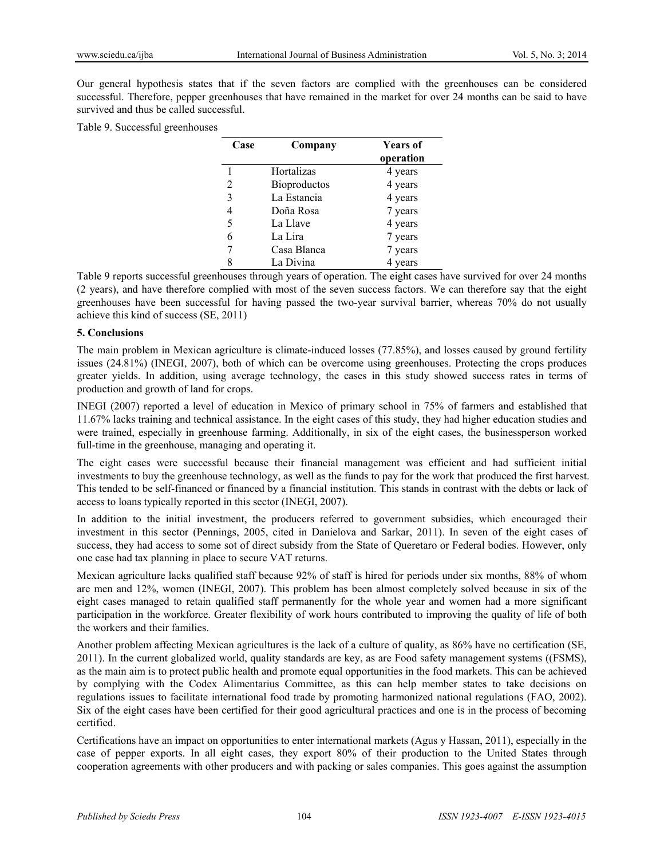Our general hypothesis states that if the seven factors are complied with the greenhouses can be considered successful. Therefore, pepper greenhouses that have remained in the market for over 24 months can be said to have survived and thus be called successful.

Table 9. Successful greenhouses

| Case | Company      | <b>Years of</b> |
|------|--------------|-----------------|
|      |              | operation       |
|      | Hortalizas   | 4 years         |
| 2    | Bioproductos | 4 years         |
| 3    | La Estancia  | 4 years         |
| 4    | Doña Rosa    | 7 years         |
| 5    | La Llave     | 4 years         |
| 6    | La Lira      | 7 years         |
|      | Casa Blanca  | 7 years         |
|      | La Divina    | 4 years         |

Table 9 reports successful greenhouses through years of operation. The eight cases have survived for over 24 months (2 years), and have therefore complied with most of the seven success factors. We can therefore say that the eight greenhouses have been successful for having passed the two-year survival barrier, whereas 70% do not usually achieve this kind of success (SE, 2011)

#### **5. Conclusions**

The main problem in Mexican agriculture is climate-induced losses (77.85%), and losses caused by ground fertility issues (24.81%) (INEGI, 2007), both of which can be overcome using greenhouses. Protecting the crops produces greater yields. In addition, using average technology, the cases in this study showed success rates in terms of production and growth of land for crops.

INEGI (2007) reported a level of education in Mexico of primary school in 75% of farmers and established that 11.67% lacks training and technical assistance. In the eight cases of this study, they had higher education studies and were trained, especially in greenhouse farming. Additionally, in six of the eight cases, the businessperson worked full-time in the greenhouse, managing and operating it.

The eight cases were successful because their financial management was efficient and had sufficient initial investments to buy the greenhouse technology, as well as the funds to pay for the work that produced the first harvest. This tended to be self-financed or financed by a financial institution. This stands in contrast with the debts or lack of access to loans typically reported in this sector (INEGI, 2007).

In addition to the initial investment, the producers referred to government subsidies, which encouraged their investment in this sector (Pennings, 2005, cited in Danielova and Sarkar, 2011). In seven of the eight cases of success, they had access to some sot of direct subsidy from the State of Queretaro or Federal bodies. However, only one case had tax planning in place to secure VAT returns.

Mexican agriculture lacks qualified staff because 92% of staff is hired for periods under six months, 88% of whom are men and 12%, women (INEGI, 2007). This problem has been almost completely solved because in six of the eight cases managed to retain qualified staff permanently for the whole year and women had a more significant participation in the workforce. Greater flexibility of work hours contributed to improving the quality of life of both the workers and their families.

Another problem affecting Mexican agricultures is the lack of a culture of quality, as 86% have no certification (SE, 2011). In the current globalized world, quality standards are key, as are Food safety management systems ((FSMS), as the main aim is to protect public health and promote equal opportunities in the food markets. This can be achieved by complying with the Codex Alimentarius Committee, as this can help member states to take decisions on regulations issues to facilitate international food trade by promoting harmonized national regulations (FAO, 2002). Six of the eight cases have been certified for their good agricultural practices and one is in the process of becoming certified.

Certifications have an impact on opportunities to enter international markets (Agus y Hassan, 2011), especially in the case of pepper exports. In all eight cases, they export 80% of their production to the United States through cooperation agreements with other producers and with packing or sales companies. This goes against the assumption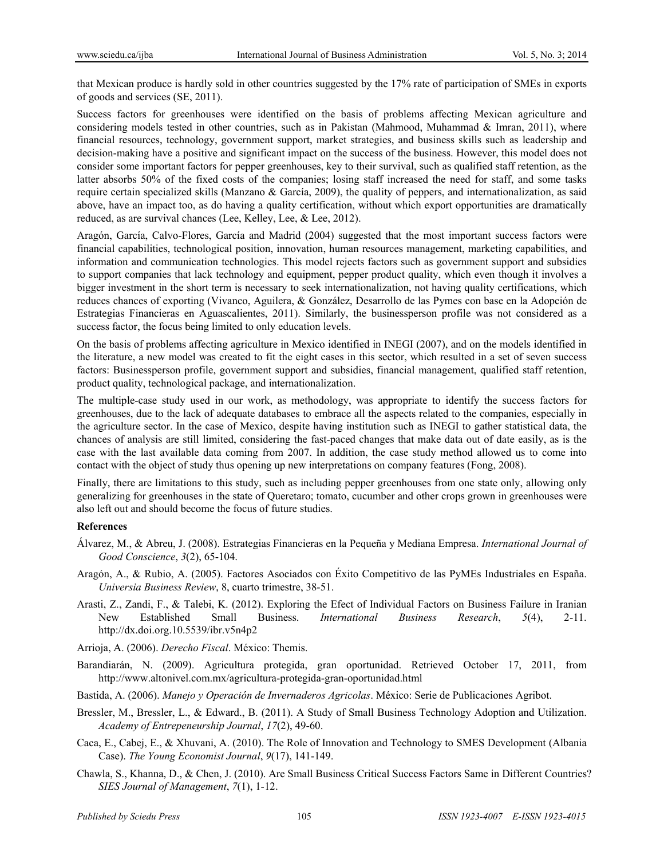that Mexican produce is hardly sold in other countries suggested by the 17% rate of participation of SMEs in exports of goods and services (SE, 2011).

Success factors for greenhouses were identified on the basis of problems affecting Mexican agriculture and considering models tested in other countries, such as in Pakistan (Mahmood, Muhammad & Imran, 2011), where financial resources, technology, government support, market strategies, and business skills such as leadership and decision-making have a positive and significant impact on the success of the business. However, this model does not consider some important factors for pepper greenhouses, key to their survival, such as qualified staff retention, as the latter absorbs 50% of the fixed costs of the companies; losing staff increased the need for staff, and some tasks require certain specialized skills (Manzano & García, 2009), the quality of peppers, and internationalization, as said above, have an impact too, as do having a quality certification, without which export opportunities are dramatically reduced, as are survival chances (Lee, Kelley, Lee, & Lee, 2012).

Aragón, García, Calvo-Flores, García and Madrid (2004) suggested that the most important success factors were financial capabilities, technological position, innovation, human resources management, marketing capabilities, and information and communication technologies. This model rejects factors such as government support and subsidies to support companies that lack technology and equipment, pepper product quality, which even though it involves a bigger investment in the short term is necessary to seek internationalization, not having quality certifications, which reduces chances of exporting (Vivanco, Aguilera, & González, Desarrollo de las Pymes con base en la Adopción de Estrategias Financieras en Aguascalientes, 2011). Similarly, the businessperson profile was not considered as a success factor, the focus being limited to only education levels.

On the basis of problems affecting agriculture in Mexico identified in INEGI (2007), and on the models identified in the literature, a new model was created to fit the eight cases in this sector, which resulted in a set of seven success factors: Businessperson profile, government support and subsidies, financial management, qualified staff retention, product quality, technological package, and internationalization.

The multiple-case study used in our work, as methodology, was appropriate to identify the success factors for greenhouses, due to the lack of adequate databases to embrace all the aspects related to the companies, especially in the agriculture sector. In the case of Mexico, despite having institution such as INEGI to gather statistical data, the chances of analysis are still limited, considering the fast-paced changes that make data out of date easily, as is the case with the last available data coming from 2007. In addition, the case study method allowed us to come into contact with the object of study thus opening up new interpretations on company features (Fong, 2008).

Finally, there are limitations to this study, such as including pepper greenhouses from one state only, allowing only generalizing for greenhouses in the state of Queretaro; tomato, cucumber and other crops grown in greenhouses were also left out and should become the focus of future studies.

#### **References**

- Álvarez, M., & Abreu, J. (2008). Estrategias Financieras en la Pequeña y Mediana Empresa. *International Journal of Good Conscience*, *3*(2), 65-104.
- Aragón, A., & Rubio, A. (2005). Factores Asociados con Éxito Competitivo de las PyMEs Industriales en España. *Universia Business Review*, 8, cuarto trimestre, 38-51.
- Arasti, Z., Zandi, F., & Talebi, K. (2012). Exploring the Efect of Individual Factors on Business Failure in Iranian New Established Small Business. *International Business Research*, *5*(4), 2-11. http://dx.doi.org.10.5539/ibr.v5n4p2
- Arrioja, A. (2006). *Derecho Fiscal*. México: Themis.
- Barandiarán, N. (2009). Agricultura protegida, gran oportunidad. Retrieved October 17, 2011, from http://www.altonivel.com.mx/agricultura-protegida-gran-oportunidad.html
- Bastida, A. (2006). *Manejo y Operación de Invernaderos Agricolas*. México: Serie de Publicaciones Agribot.
- Bressler, M., Bressler, L., & Edward., B. (2011). A Study of Small Business Technology Adoption and Utilization. *Academy of Entrepeneurship Journal*, *17*(2), 49-60.
- Caca, E., Cabej, E., & Xhuvani, A. (2010). The Role of Innovation and Technology to SMES Development (Albania Case). *The Young Economist Journal*, *9*(17), 141-149.
- Chawla, S., Khanna, D., & Chen, J. (2010). Are Small Business Critical Success Factors Same in Different Countries? *SIES Journal of Management*, *7*(1), 1-12.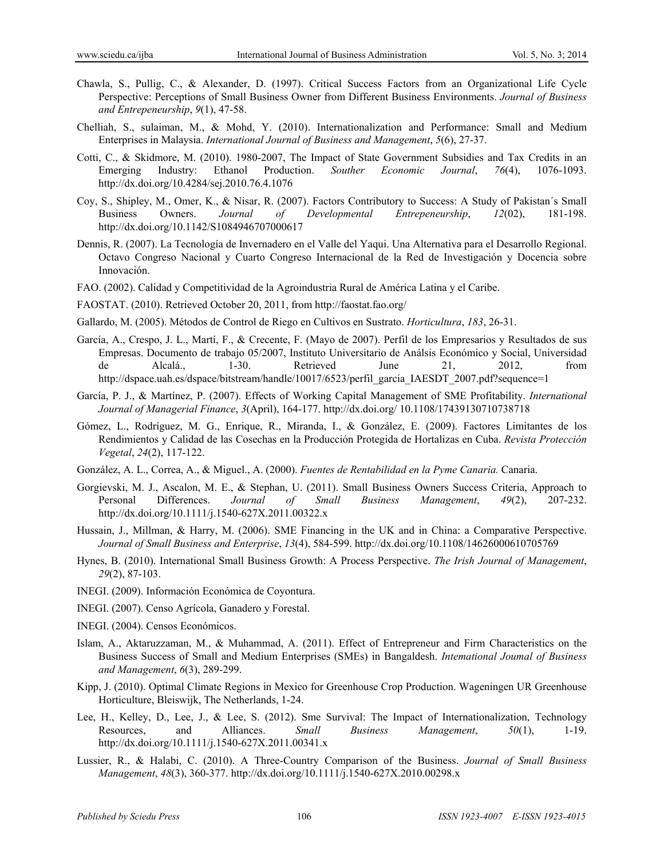- Chawla, S., Pullig, C., & Alexander, D. (1997). Critical Success Factors from an Organizational Life Cycle Perspective: Perceptions of Small Business Owner from Different Business Environments. *Journal of Business and Entrepeneurship*, *9*(1), 47-58.
- Chelliah, S., sulaiman, M., & Mohd, Y. (2010). Internationalization and Performance: Small and Medium Enterprises in Malaysia. *International Journal of Business and Management*, *5*(6), 27-37.
- Cotti, C., & Skidmore, M. (2010). 1980-2007, The Impact of State Government Subsidies and Tax Credits in an Emerging Industry: Ethanol Production. *Souther Economic Journal*, *76*(4), 1076-1093. http://dx.doi.org/10.4284/sej.2010.76.4.1076
- Coy, S., Shipley, M., Omer, K., & Nisar, R. (2007). Factors Contributory to Success: A Study of Pakistan´s Small Business Owners. *Journal of Developmental Entrepeneurship*, *12*(02), 181-198. http://dx.doi.org/10.1142/S1084946707000617
- Dennis, R. (2007). La Tecnología de Invernadero en el Valle del Yaqui. Una Alternativa para el Desarrollo Regional. Octavo Congreso Nacional y Cuarto Congreso Internacional de la Red de Investigación y Docencia sobre Innovación.
- FAO. (2002). Calidad y Competitividad de la Agroindustria Rural de América Latina y el Caribe.
- FAOSTAT. (2010). Retrieved October 20, 2011, from http://faostat.fao.org/
- Gallardo, M. (2005). Métodos de Control de Riego en Cultivos en Sustrato. *Horticultura*, *183*, 26-31.
- García, A., Crespo, J. L., Martí, F., & Crecente, F. (Mayo de 2007). Perfil de los Empresarios y Resultados de sus Empresas. Documento de trabajo 05/2007, Instituto Universitario de Análsis Económico y Social, Universidad de Alcalá., 1-30. Retrieved June 21, 2012, from http://dspace.uah.es/dspace/bitstream/handle/10017/6523/perfil\_garcia\_IAESDT\_2007.pdf?sequence=1
- García, P. J., & Martínez, P. (2007). Effects of Working Capital Management of SME Profitability. *International Journal of Managerial Finance*, *3*(April), 164-177. http://dx.doi.org/ 10.1108/17439130710738718
- Gómez, L., Rodríguez, M. G., Enrique, R., Miranda, I., & González, E. (2009). Factores Limitantes de los Rendimientos y Calidad de las Cosechas en la Producción Protegida de Hortalizas en Cuba. *Revista Protección Vegetal*, *24*(2), 117-122.
- González, A. L., Correa, A., & Miguel., A. (2000). *Fuentes de Rentabilidad en la Pyme Canaria.* Canaria.
- Gorgievski, M. J., Ascalon, M. E., & Stephan, U. (2011). Small Business Owners Success Criteria, Approach to Personal Differences. *Journal of Small Business Management*, *49*(2), 207-232. http://dx.doi.org/10.1111/j.1540-627X.2011.00322.x
- Hussain, J., Millman, & Harry, M. (2006). SME Financing in the UK and in China: a Comparative Perspective. *Journal of Small Business and Enterprise*, *13*(4), 584-599. http://dx.doi.org/10.1108/14626000610705769
- Hynes, B. (2010). International Small Business Growth: A Process Perspective. *The Irish Journal of Management*, *29*(2), 87-103.
- INEGI. (2009). Información Económica de Coyontura.
- INEGI. (2007). Censo Agrícola, Ganadero y Forestal.
- INEGI. (2004). Censos Económicos.
- Islam, A., Aktaruzzaman, M., & Muhammad, A. (2011). Effect of Entrepreneur and Firm Characteristics on the Business Success of Small and Medium Enterprises (SMEs) in Bangaldesh. *Intemational Joumal of Business and Management*, *6*(3), 289-299.
- Kipp, J. (2010). Optimal Climate Regions in Mexico for Greenhouse Crop Production. Wageningen UR Greenhouse Horticulture, Bleiswijk, The Netherlands, 1-24.
- Lee, H., Kelley, D., Lee, J., & Lee, S. (2012). Sme Survival: The Impact of Internationalization, Technology Resources, and Alliances. *Small Business Management*, *50*(1), 1-19. http://dx.doi.org/10.1111/j.1540-627X.2011.00341.x
- Lussier, R., & Halabi, C. (2010). A Three-Country Comparison of the Business. *Journal of Small Business Management*, *48*(3), 360-377. http://dx.doi.org/10.1111/j.1540-627X.2010.00298.x